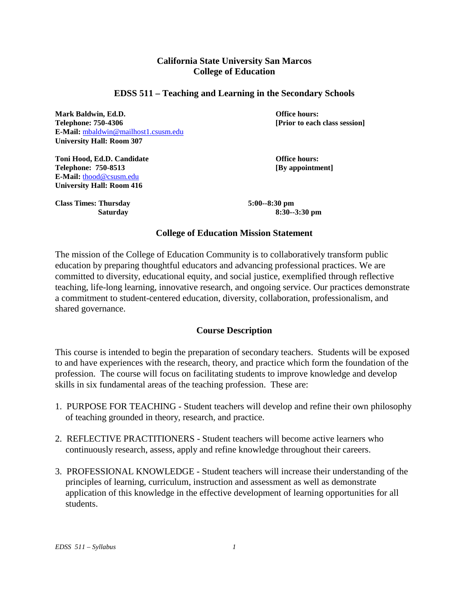# **California State University San Marcos College of Education**

#### **EDSS 511 – Teaching and Learning in the Secondary Schools**

**Mark Baldwin, Ed.D. Office hours: Telephone: 750-4306 [Prior to each class session] E-Mail:** [mbaldwin@mailhost1.csusm.edu](mailto:mbaldwin@mailhost1.csusm.edu) **University Hall: Room 307**

**Toni Hood, Ed.D. Candidate Conserversity Conserversity Conserversity Conserversity Conserversity Conserversity Conserversity Conserversity Conserversity Conserversity Conserversity Conserversity Conserversity Conservers Telephone: 750-8513 E-Mail:** [thood@csusm.edu](mailto:thood@csusm.edu) **University Hall: Room 416**

**Class Times: Thursday 5:00--8:30 pm**

 **Saturday 8:30--3:30 pm**

#### **College of Education Mission Statement**

The mission of the College of Education Community is to collaboratively transform public education by preparing thoughtful educators and advancing professional practices. We are committed to diversity, educational equity, and social justice, exemplified through reflective teaching, life-long learning, innovative research, and ongoing service. Our practices demonstrate a commitment to student-centered education, diversity, collaboration, professionalism, and shared governance.

## **Course Description**

This course is intended to begin the preparation of secondary teachers. Students will be exposed to and have experiences with the research, theory, and practice which form the foundation of the profession. The course will focus on facilitating students to improve knowledge and develop skills in six fundamental areas of the teaching profession. These are:

- 1. PURPOSE FOR TEACHING Student teachers will develop and refine their own philosophy of teaching grounded in theory, research, and practice.
- 2. REFLECTIVE PRACTITIONERS Student teachers will become active learners who continuously research, assess, apply and refine knowledge throughout their careers.
- 3. PROFESSIONAL KNOWLEDGE Student teachers will increase their understanding of the principles of learning, curriculum, instruction and assessment as well as demonstrate application of this knowledge in the effective development of learning opportunities for all students.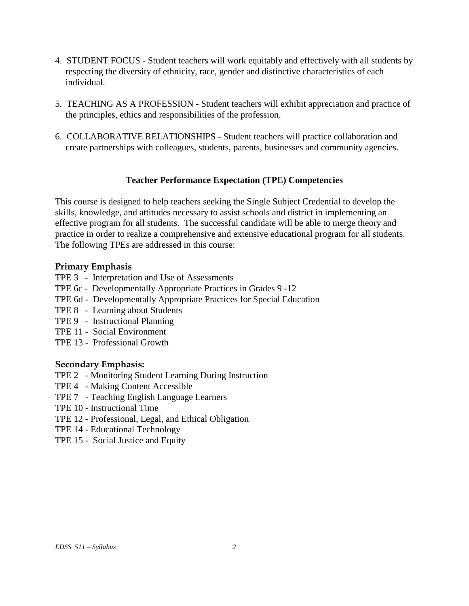- 4. STUDENT FOCUS Student teachers will work equitably and effectively with all students by respecting the diversity of ethnicity, race, gender and distinctive characteristics of each individual.
- 5. TEACHING AS A PROFESSION Student teachers will exhibit appreciation and practice of the principles, ethics and responsibilities of the profession.
- 6. COLLABORATIVE RELATIONSHIPS Student teachers will practice collaboration and create partnerships with colleagues, students, parents, businesses and community agencies.

## **Teacher Performance Expectation (TPE) Competencies**

This course is designed to help teachers seeking the Single Subject Credential to develop the skills, knowledge, and attitudes necessary to assist schools and district in implementing an effective program for all students. The successful candidate will be able to merge theory and practice in order to realize a comprehensive and extensive educational program for all students. The following TPEs are addressed in this course:

#### **Primary Emphasis**

- TPE 3 Interpretation and Use of Assessments
- TPE 6c Developmentally Appropriate Practices in Grades 9 -12
- TPE 6d Developmentally Appropriate Practices for Special Education
- TPE 8 Learning about Students
- TPE 9 Instructional Planning
- TPE 11 Social Environment
- TPE 13 Professional Growth

## **Secondary Emphasis:**

- TPE 2 Monitoring Student Learning During Instruction
- TPE 4 Making Content Accessible
- TPE 7 Teaching English Language Learners
- TPE 10 Instructional Time
- TPE 12 Professional, Legal, and Ethical Obligation
- TPE 14 Educational Technology
- TPE 15 Social Justice and Equity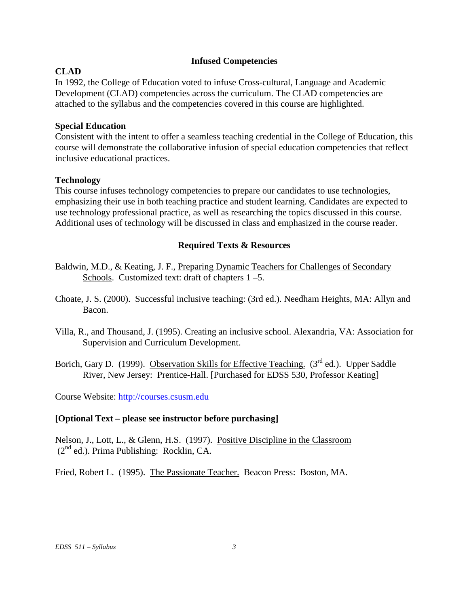### **Infused Competencies**

# **CLAD**

In 1992, the College of Education voted to infuse Cross-cultural, Language and Academic Development (CLAD) competencies across the curriculum. The CLAD competencies are attached to the syllabus and the competencies covered in this course are highlighted.

# **Special Education**

Consistent with the intent to offer a seamless teaching credential in the College of Education, this course will demonstrate the collaborative infusion of special education competencies that reflect inclusive educational practices.

## **Technology**

This course infuses technology competencies to prepare our candidates to use technologies, emphasizing their use in both teaching practice and student learning. Candidates are expected to use technology professional practice, as well as researching the topics discussed in this course. Additional uses of technology will be discussed in class and emphasized in the course reader.

## **Required Texts & Resources**

- Baldwin, M.D., & Keating, J. F., Preparing Dynamic Teachers for Challenges of Secondary Schools. Customized text: draft of chapters  $1 - 5$ .
- Choate, J. S. (2000). Successful inclusive teaching: (3rd ed.). Needham Heights, MA: Allyn and Bacon.
- Villa, R., and Thousand, J. (1995). Creating an inclusive school. Alexandria, VA: Association for Supervision and Curriculum Development.
- Borich, Gary D. (1999). Observation Skills for Effective Teaching. (3<sup>rd</sup> ed.). Upper Saddle River, New Jersey: Prentice-Hall. [Purchased for EDSS 530, Professor Keating]

Course Website: [http://courses.csusm.edu](http://courses.csusm.edu/)

# **[Optional Text – please see instructor before purchasing]**

Nelson, J., Lott, L., & Glenn, H.S. (1997). Positive Discipline in the Classroom  $(2^{nd}$  ed.). Prima Publishing: Rocklin, CA.

Fried, Robert L. (1995). The Passionate Teacher. Beacon Press: Boston, MA.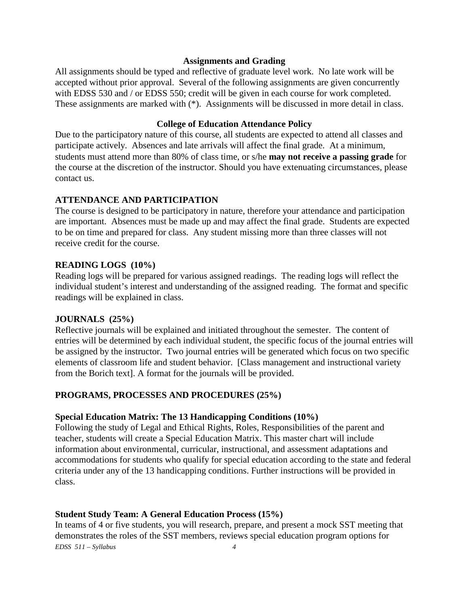#### **Assignments and Grading**

All assignments should be typed and reflective of graduate level work. No late work will be accepted without prior approval. Several of the following assignments are given concurrently with EDSS 530 and / or EDSS 550; credit will be given in each course for work completed. These assignments are marked with (\*). Assignments will be discussed in more detail in class.

#### **College of Education Attendance Policy**

Due to the participatory nature of this course, all students are expected to attend all classes and participate actively. Absences and late arrivals will affect the final grade. At a minimum, students must attend more than 80% of class time, or s/he **may not receive a passing grade** for the course at the discretion of the instructor. Should you have extenuating circumstances, please contact us.

# **ATTENDANCE AND PARTICIPATION**

The course is designed to be participatory in nature, therefore your attendance and participation are important. Absences must be made up and may affect the final grade. Students are expected to be on time and prepared for class. Any student missing more than three classes will not receive credit for the course.

# **READING LOGS (10%)**

Reading logs will be prepared for various assigned readings. The reading logs will reflect the individual student's interest and understanding of the assigned reading. The format and specific readings will be explained in class.

## **JOURNALS (25%)**

Reflective journals will be explained and initiated throughout the semester. The content of entries will be determined by each individual student, the specific focus of the journal entries will be assigned by the instructor. Two journal entries will be generated which focus on two specific elements of classroom life and student behavior. [Class management and instructional variety from the Borich text]. A format for the journals will be provided.

## **PROGRAMS, PROCESSES AND PROCEDURES (25%)**

## **Special Education Matrix: The 13 Handicapping Conditions (10%)**

Following the study of Legal and Ethical Rights, Roles, Responsibilities of the parent and teacher, students will create a Special Education Matrix. This master chart will include information about environmental, curricular, instructional, and assessment adaptations and accommodations for students who qualify for special education according to the state and federal criteria under any of the 13 handicapping conditions. Further instructions will be provided in class.

## **Student Study Team: A General Education Process (15%)**

*EDSS 511 – Syllabus 4* In teams of 4 or five students, you will research, prepare, and present a mock SST meeting that demonstrates the roles of the SST members, reviews special education program options for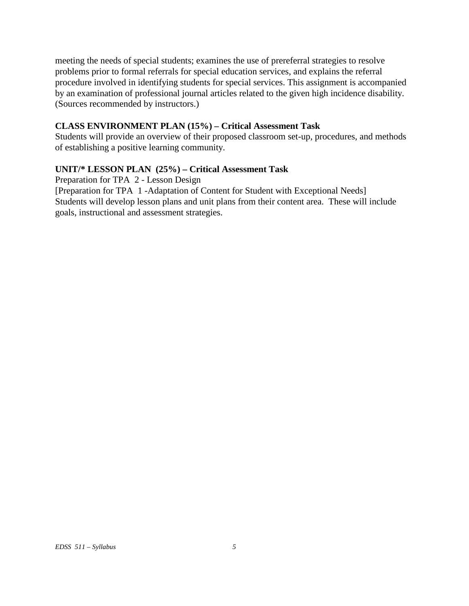meeting the needs of special students; examines the use of prereferral strategies to resolve problems prior to formal referrals for special education services, and explains the referral procedure involved in identifying students for special services. This assignment is accompanied by an examination of professional journal articles related to the given high incidence disability. (Sources recommended by instructors.)

# **CLASS ENVIRONMENT PLAN (15%) – Critical Assessment Task**

Students will provide an overview of their proposed classroom set-up, procedures, and methods of establishing a positive learning community.

# **UNIT/\* LESSON PLAN (25%) – Critical Assessment Task**

Preparation for TPA 2 - Lesson Design

[Preparation for TPA 1 -Adaptation of Content for Student with Exceptional Needs] Students will develop lesson plans and unit plans from their content area. These will include goals, instructional and assessment strategies.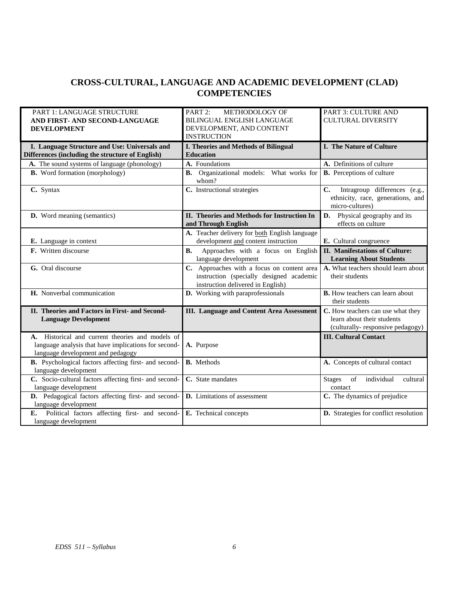# **CROSS-CULTURAL, LANGUAGE AND ACADEMIC DEVELOPMENT (CLAD) COMPETENCIES**

| <b>PART 1: LANGUAGE STRUCTURE</b><br>AND FIRST- AND SECOND-LANGUAGE<br><b>DEVELOPMENT</b>                                                     | PART <sub>2:</sub><br><b>METHODOLOGY OF</b><br><b>BILINGUAL ENGLISH LANGUAGE</b><br>DEVELOPMENT, AND CONTENT<br><b>INSTRUCTION</b> | <b>PART 3: CULTURE AND</b><br><b>CULTURAL DIVERSITY</b>                                                                                                  |
|-----------------------------------------------------------------------------------------------------------------------------------------------|------------------------------------------------------------------------------------------------------------------------------------|----------------------------------------------------------------------------------------------------------------------------------------------------------|
| I. Language Structure and Use: Universals and<br>Differences (including the structure of English)                                             | <b>I. Theories and Methods of Bilingual</b><br><b>Education</b>                                                                    | <b>I. The Nature of Culture</b>                                                                                                                          |
| A. The sound systems of language (phonology)                                                                                                  | A. Foundations                                                                                                                     | A. Definitions of culture                                                                                                                                |
| <b>B.</b> Word formation (morphology)                                                                                                         | <b>B.</b> Organizational models: What works for<br>whom?                                                                           | <b>B.</b> Perceptions of culture                                                                                                                         |
| C. Syntax                                                                                                                                     | C. Instructional strategies                                                                                                        | $\mathbf{C}$ .<br>Intragroup differences (e.g.,<br>ethnicity, race, generations, and<br>micro-cultures)                                                  |
| <b>D.</b> Word meaning (semantics)                                                                                                            | II. Theories and Methods for Instruction In<br>and Through English                                                                 | Physical geography and its<br>D.<br>effects on culture                                                                                                   |
| E. Language in context                                                                                                                        | A. Teacher delivery for both English language<br>development and content instruction                                               | E. Cultural congruence                                                                                                                                   |
| <b>F.</b> Written discourse                                                                                                                   | Approaches with a focus on English<br><b>B.</b><br>language development                                                            | <b>II.</b> Manifestations of Culture:<br><b>Learning About Students</b>                                                                                  |
| G. Oral discourse                                                                                                                             | C. Approaches with a focus on content area<br>instruction (specially designed academic<br>instruction delivered in English)        | A. What teachers should learn about<br>their students                                                                                                    |
| H. Nonverbal communication                                                                                                                    | D. Working with paraprofessionals                                                                                                  | <b>B.</b> How teachers can learn about<br>their students                                                                                                 |
| II. Theories and Factors in First- and Second-<br><b>Language Development</b>                                                                 | <b>III.</b> Language and Content Area Assessment                                                                                   | C. How teachers can use what they<br>learn about their students<br>(culturally-responsive pedagogy)                                                      |
| A. Historical and current theories and models of<br>language analysis that have implications for second-<br>language development and pedagogy | A. Purpose                                                                                                                         | <b>III. Cultural Contact</b>                                                                                                                             |
| B. Psychological factors affecting first- and second-<br>language development                                                                 | <b>B.</b> Methods                                                                                                                  | A. Concepts of cultural contact                                                                                                                          |
| C. Socio-cultural factors affecting first- and second-<br>language development                                                                | C. State mandates                                                                                                                  | $% \left( \left( \mathcal{A},\mathcal{A}\right) \right) =\left( \mathcal{A},\mathcal{A}\right)$ of<br>individual<br>cultural<br><b>Stages</b><br>contact |
| D. Pedagogical factors affecting first- and second-<br>language development                                                                   | <b>D.</b> Limitations of assessment                                                                                                | C. The dynamics of prejudice                                                                                                                             |
| Political factors affecting first- and second-<br>E.<br>language development                                                                  | E. Technical concepts                                                                                                              | D. Strategies for conflict resolution                                                                                                                    |